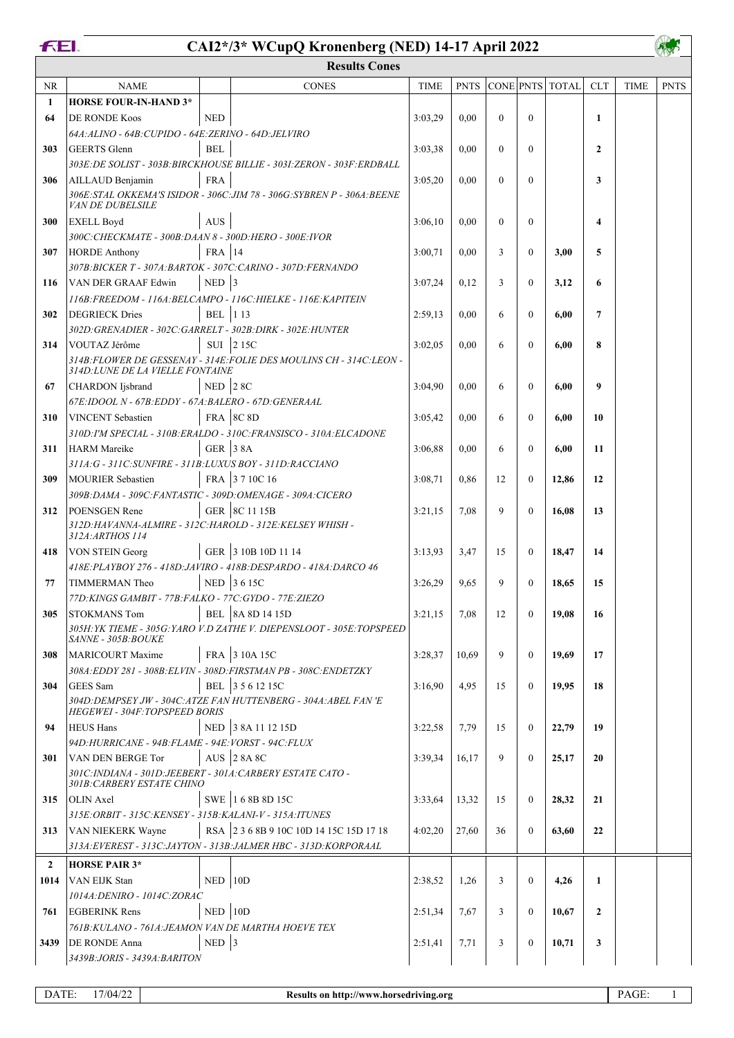### **FEI.**

# **CAI2\*/3\* WCupQ Kronenberg (NED) 14-17 April 2022**

AWS

|                | <b>Results Cones</b>                                                                   |                 |                                                                          |             |             |          |                |                 |              |             |             |  |
|----------------|----------------------------------------------------------------------------------------|-----------------|--------------------------------------------------------------------------|-------------|-------------|----------|----------------|-----------------|--------------|-------------|-------------|--|
| NR             | <b>NAME</b>                                                                            |                 | <b>CONES</b>                                                             | <b>TIME</b> | <b>PNTS</b> |          |                | CONE PNTS TOTAL | <b>CLT</b>   | <b>TIME</b> | <b>PNTS</b> |  |
| 1              | <b>HORSE FOUR-IN-HAND 3*</b>                                                           |                 |                                                                          |             |             |          |                |                 |              |             |             |  |
| 64             | <b>DE RONDE Koos</b>                                                                   | <b>NED</b>      |                                                                          | 3:03,29     | 0,00        | $\theta$ | $\theta$       |                 | $\mathbf{1}$ |             |             |  |
|                | 64A: ALINO - 64B: CUPIDO - 64E: ZERINO - 64D: JELVIRO                                  |                 |                                                                          |             |             |          |                |                 |              |             |             |  |
| 303            | <b>GEERTS</b> Glenn                                                                    | <b>BEL</b>      |                                                                          | 3:03.38     | 0.00        | $\theta$ | $\overline{0}$ |                 | $\mathbf{2}$ |             |             |  |
|                |                                                                                        |                 | 303E: DE SOLIST - 303B: BIRCKHOUSE BILLIE - 3031: ZERON - 303F: ERDBALL  |             |             |          |                |                 |              |             |             |  |
| 306            | AILLAUD Benjamin<br><b>VAN DE DUBELSILE</b>                                            | <b>FRA</b>      | 306E: STAL OKKEMA'S ISIDOR - 306C: JIM 78 - 306G: SYBREN P - 306A: BEENE | 3:05,20     | 0,00        | $\theta$ | $\theta$       |                 | 3            |             |             |  |
| 300            | <b>EXELL Boyd</b><br>300C: CHECKMATE - 300B: DAAN 8 - 300D: HERO - 300E: IVOR          | <b>AUS</b>      |                                                                          | 3:06,10     | 0.00        | $\theta$ | $\theta$       |                 | 4            |             |             |  |
| 307            | <b>HORDE Anthony</b>                                                                   | FRA 14          |                                                                          | 3:00,71     | 0.00        | 3        | $\mathbf{0}$   | 3,00            | 5            |             |             |  |
|                | 307B: BICKER T - 307A: BARTOK - 307C: CARINO - 307D: FERNANDO                          |                 |                                                                          |             |             |          |                |                 |              |             |             |  |
| 116            | VAN DER GRAAF Edwin                                                                    | $NED$ 3         |                                                                          | 3:07,24     | 0,12        | 3        | $\overline{0}$ | 3,12            | 6            |             |             |  |
|                |                                                                                        |                 | 116B: FREEDOM - 116A: BELCAMPO - 116C: HIELKE - 116E: KAPITEIN           |             |             |          |                |                 |              |             |             |  |
| 302            | <b>DEGRIECK Dries</b>                                                                  | <b>BEL</b>  113 |                                                                          | 2:59,13     | 0.00        | 6        | $\theta$       | 6,00            | 7            |             |             |  |
|                | 302D: GRENADIER - 302C: GARRELT - 302B: DIRK - 302E: HUNTER                            |                 |                                                                          |             |             |          |                |                 |              |             |             |  |
| 314            | VOUTAZ Jérôme                                                                          |                 | SUI 215C                                                                 | 3:02,05     | 0.00        | 6        | $\theta$       | 6.00            | 8            |             |             |  |
|                | 314D:LUNE DE LA VIELLE FONTAINE                                                        |                 | 314B: FLOWER DE GESSENAY - 314E: FOLIE DES MOULINS CH - 314C: LEON -     |             |             |          |                |                 |              |             |             |  |
| 67             | CHARDON Ijsbrand                                                                       | NED $ 28C$      |                                                                          | 3:04,90     | 0.00        | 6        | $\overline{0}$ | 6,00            | 9            |             |             |  |
|                | 67E: IDOOL N - 67B: EDDY - 67A: BALERO - 67D: GENERAAL                                 |                 |                                                                          |             |             |          |                |                 |              |             |             |  |
| 310            | <b>VINCENT</b> Sebastien                                                               |                 | <b>FRA</b> 8C 8D                                                         | 3:05,42     | 0.00        | 6        | $\theta$       | 6,00            | 10           |             |             |  |
|                |                                                                                        |                 | 310D: I'M SPECIAL - 310B: ERALDO - 310C: FRANSISCO - 310A: ELCADONE      |             |             |          |                |                 |              |             |             |  |
| 311            | HARM Mareike<br>311A: G - 311C: SUNFIRE - 311B: LUXUS BOY - 311D: RACCIANO             | GER 38A         |                                                                          | 3:06,88     | 0.00        | 6        | $\theta$       | 6.00            | 11           |             |             |  |
| 309            | MOURIER Sebastien                                                                      |                 | FRA 3710C16                                                              | 3:08,71     | 0.86        | 12       | $\theta$       | 12,86           | 12           |             |             |  |
|                | 309B: DAMA - 309C: FANTASTIC - 309D: OMENAGE - 309A: CICERO                            |                 |                                                                          |             |             |          |                |                 |              |             |             |  |
| 312            | POENSGEN Rene                                                                          |                 | GER   8C 11 15B                                                          | 3:21,15     | 7,08        | 9        | $\theta$       | 16,08           | 13           |             |             |  |
|                | 312D:HAVANNA-ALMIRE - 312C:HAROLD - 312E:KELSEY WHISH -<br>312A: ARTHOS 114            |                 |                                                                          |             |             |          |                |                 |              |             |             |  |
| 418            | VON STEIN Georg                                                                        |                 | GER 3 10B 10D 11 14                                                      | 3:13.93     | 3,47        | 15       | $\theta$       | 18,47           | 14           |             |             |  |
|                |                                                                                        |                 | 418E: PLAYBOY 276 - 418D: JAVIRO - 418B: DESPARDO - 418A: DARCO 46       |             |             |          |                |                 |              |             |             |  |
| 77             | TIMMERMAN Theo                                                                         |                 | NED 3615C                                                                | 3:26,29     | 9.65        | 9        | $\theta$       | 18,65           | 15           |             |             |  |
|                | 77D: KINGS GAMBIT - 77B: FALKO - 77C: GYDO - 77E: ZIEZO                                |                 |                                                                          |             |             |          |                |                 |              |             |             |  |
| 305            | <b>STOKMANS Tom</b>                                                                    |                 | BEL 8A 8D 14 15D                                                         | 3:21,15     | 7,08        | 12       | $\bf{0}$       | 19,08           | 16           |             |             |  |
|                | SANNE - 305B: BOUKE                                                                    |                 | 305H: YK TIEME - 305G: YARO V.D ZATHE V. DIEPENSLOOT - 305E: TOPSPEED    |             |             |          |                |                 |              |             |             |  |
| 308            | MARICOURT Maxime                                                                       |                 | FRA 3 10A 15C                                                            | 3:28,37     | 10.69       | 9        | $\theta$       | 19,69           | 17           |             |             |  |
|                |                                                                                        |                 | 308A: EDDY 281 - 308B: ELVIN - 308D: FIRSTMAN PB - 308C: ENDETZKY        |             |             |          |                |                 |              |             |             |  |
| 304            | GEES Sam                                                                               |                 | BEL 3 5 6 12 15C                                                         | 3:16,90     | 4,95        | 15       | $\theta$       | 19,95           | 18           |             |             |  |
|                | <b>HEGEWEI - 304F: TOPSPEED BORIS</b>                                                  |                 | 304D: DEMPSEY JW - 304C: ATZE FAN HUTTENBERG - 304A: ABEL FAN 'E         |             |             |          |                |                 |              |             |             |  |
| 94             | <b>HEUS Hans</b>                                                                       |                 | NED 38A 11 12 15D                                                        | 3:22,58     | 7.79        | 15       | $\theta$       | 22,79           | 19           |             |             |  |
|                | 94D: HURRICANE - 94B: FLAME - 94E: VORST - 94C: FLUX                                   |                 |                                                                          |             |             |          |                |                 |              |             |             |  |
| 301            | VAN DEN BERGE Tor                                                                      |                 | AUS 28A 8C                                                               | 3:39,34     | 16,17       | 9        | $\theta$       | 25,17           | 20           |             |             |  |
|                | 301C:INDIANA - 301D:JEEBERT - 301A:CARBERY ESTATE CATO -<br>301B: CARBERY ESTATE CHINO |                 |                                                                          |             |             |          |                |                 |              |             |             |  |
| 315            | OLIN Axel                                                                              |                 | SWE 168B 8D 15C                                                          | 3:33,64     | 13,32       | 15       | $\overline{0}$ | 28,32           | 21           |             |             |  |
|                | 315E: ORBIT - 315C: KENSEY - 315B: KALANI-V - 315A: ITUNES                             |                 |                                                                          |             |             |          |                |                 |              |             |             |  |
| 313            | VAN NIEKERK Wayne                                                                      |                 | RSA 2 3 6 8B 9 10C 10D 14 15C 15D 17 18                                  | 4:02,20     | 27,60       | 36       | $\overline{0}$ | 63,60           | 22           |             |             |  |
|                |                                                                                        |                 | 313A: EVEREST - 313C: JAYTON - 313B: JALMER HBC - 313D: KORPORAAL        |             |             |          |                |                 |              |             |             |  |
| $\overline{2}$ | <b>HORSE PAIR 3*</b>                                                                   |                 |                                                                          |             |             |          |                |                 |              |             |             |  |
| 1014           | VAN EIJK Stan                                                                          | NED.            | 10D                                                                      | 2:38,52     | 1,26        | 3        | $\overline{0}$ | 4,26            | 1            |             |             |  |
|                | 1014A: DENIRO - 1014C: ZORAC                                                           |                 |                                                                          |             |             |          |                |                 |              |             |             |  |
| 761            | <b>EGBERINK</b> Rens                                                                   | $NED$ 10D       |                                                                          | 2:51,34     | 7,67        | 3        | $\overline{0}$ | 10,67           | $\mathbf{2}$ |             |             |  |
|                | 761B: KULANO - 761A: JEAMON VAN DE MARTHA HOEVE TEX                                    |                 |                                                                          |             |             |          |                |                 |              |             |             |  |
| 3439           | <b>DE RONDE Anna</b><br>3439B: JORIS - 3439A: BARITON                                  | $NED$ 3         |                                                                          | 2:51,41     | 7,71        | 3        | $\mathbf{0}$   | 10,71           | 3            |             |             |  |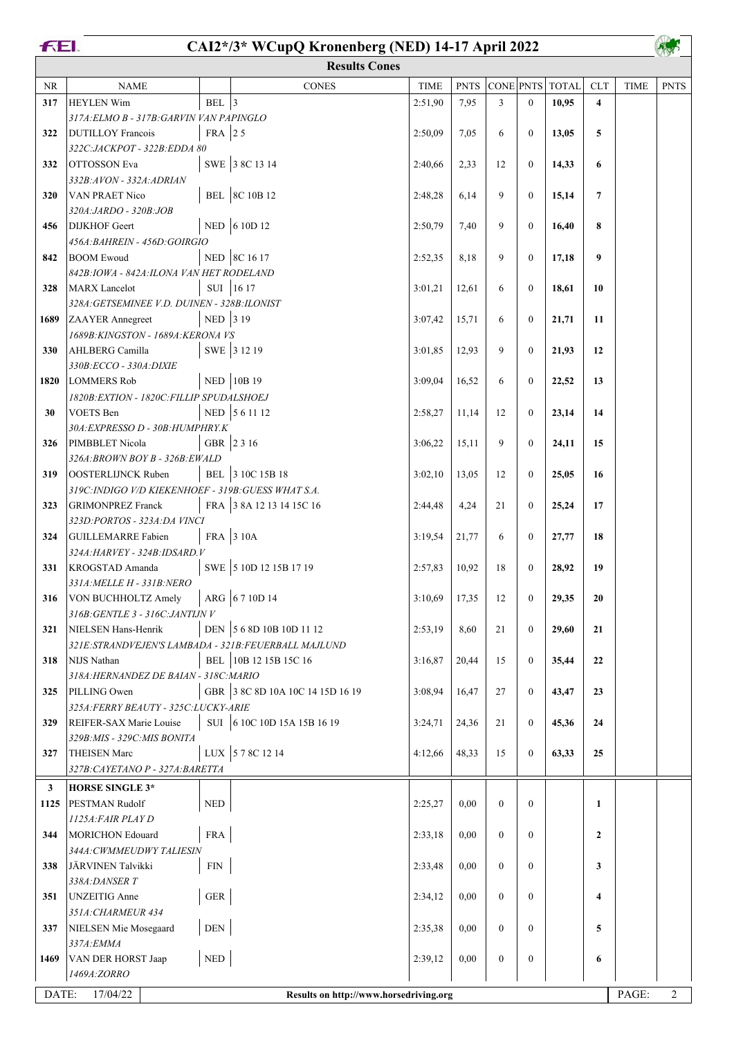## **FEI.**

# **CAI2\*/3\* WCupQ Kronenberg (NED) 14-17 April 2022**

|              | <b>Results Cones</b>                                  |                             |                                        |             |             |                  |                  |              |                         |             |                |  |  |
|--------------|-------------------------------------------------------|-----------------------------|----------------------------------------|-------------|-------------|------------------|------------------|--------------|-------------------------|-------------|----------------|--|--|
| <b>NR</b>    | <b>NAME</b>                                           |                             | <b>CONES</b>                           | <b>TIME</b> | <b>PNTS</b> | <b>CONE PNTS</b> |                  | <b>TOTAL</b> | <b>CLT</b>              | <b>TIME</b> | <b>PNTS</b>    |  |  |
| 317          | <b>HEYLEN Wim</b>                                     | BEL $ 3$                    |                                        | 2:51,90     | 7,95        | 3                | $\mathbf{0}$     | 10,95        | $\overline{\mathbf{4}}$ |             |                |  |  |
|              | 317A: ELMO B - 317B: GARVIN VAN PAPINGLO              |                             |                                        |             |             |                  |                  |              |                         |             |                |  |  |
| 322          | DUTILLOY Francois                                     | FRA 25                      |                                        | 2:50,09     | 7,05        | 6                | $\boldsymbol{0}$ | 13,05        | 5                       |             |                |  |  |
|              | 322C:JACKPOT - 322B:EDDA 80                           |                             |                                        |             |             |                  |                  |              |                         |             |                |  |  |
| 332          | <b>OTTOSSON</b> Eva                                   |                             | SWE 38C 13 14                          | 2:40,66     | 2,33        | 12               | $\mathbf{0}$     | 14,33        | 6                       |             |                |  |  |
|              | 332B:AVON - 332A:ADRIAN                               |                             |                                        |             |             |                  |                  |              |                         |             |                |  |  |
| 320          | VAN PRAET Nico                                        |                             | BEL 8C 10B 12                          | 2:48,28     | 6,14        | 9                | $\boldsymbol{0}$ | 15,14        | 7                       |             |                |  |  |
|              | 320A: JARDO - 320B: JOB                               |                             |                                        |             |             |                  |                  |              |                         |             |                |  |  |
| 456          | <b>DIJKHOF</b> Geert                                  |                             | NED $\vert$ 6 10D 12                   | 2:50,79     | 7,40        | 9                | $\boldsymbol{0}$ | 16,40        | 8                       |             |                |  |  |
|              | 456A: BAHREIN - 456D: GOIRGIO                         |                             |                                        |             |             |                  |                  |              |                         |             |                |  |  |
| 842          | <b>BOOM</b> Ewoud                                     |                             | NED 8C 16 17                           | 2:52,35     | 8,18        | 9                | $\mathbf{0}$     | 17,18        | 9                       |             |                |  |  |
|              | 842B: IOWA - 842A: ILONA VAN HET RODELAND             |                             |                                        |             |             |                  |                  |              |                         |             |                |  |  |
| 328          | MARX Lancelot                                         |                             | SUI 16 17                              | 3:01,21     | 12,61       | 6                | $\mathbf{0}$     | 18,61        | 10                      |             |                |  |  |
|              | 328A: GETSEMINEE V.D. DUINEN - 328B: ILONIST          |                             |                                        |             |             |                  |                  |              |                         |             |                |  |  |
| 1689         | <b>ZAAYER</b> Annegreet                               | NED 3 19                    |                                        | 3:07,42     | 15,71       | 6                | $\mathbf{0}$     | 21,71        | 11                      |             |                |  |  |
|              | 1689B: KINGSTON - 1689A: KERONA VS                    |                             |                                        |             |             |                  |                  |              |                         |             |                |  |  |
| 330          | AHLBERG Camilla                                       |                             | SWE 3 12 19                            | 3:01,85     | 12,93       | 9                | $\mathbf{0}$     | 21,93        | 12                      |             |                |  |  |
|              | 330B:ECCO - 330A:DIXIE                                |                             |                                        |             |             |                  |                  |              |                         |             |                |  |  |
| 1820         | <b>LOMMERS Rob</b>                                    |                             | NED 10B 19                             | 3:09,04     | 16,52       | 6                | $\boldsymbol{0}$ | 22,52        | 13                      |             |                |  |  |
|              | 1820B: EXTION - 1820C: FILLIP SPUDALSHOEJ             |                             |                                        |             |             |                  |                  |              |                         |             |                |  |  |
| 30           | VOETS Ben                                             |                             | NED 561112                             | 2:58,27     | 11,14       | 12               | $\mathbf{0}$     | 23,14        | 14                      |             |                |  |  |
|              | 30A: EXPRESSO D - 30B: HUMPHRY.K                      |                             |                                        |             |             |                  |                  |              |                         |             |                |  |  |
| 326          | PIMBBLET Nicola                                       |                             | GBR 2316                               | 3:06,22     | 15,11       | 9                | $\mathbf{0}$     | 24,11        | 15                      |             |                |  |  |
|              | 326A: BROWN BOY B - 326B: EWALD                       |                             |                                        |             |             |                  |                  |              |                         |             |                |  |  |
| 319          | OOSTERLIJNCK Ruben                                    |                             | BEL 3 10C 15B 18                       | 3:02,10     | 13,05       | 12               | $\boldsymbol{0}$ | 25,05        | 16                      |             |                |  |  |
|              | 319C: INDIGO V/D KIEKENHOEF - 319B: GUESS WHAT S.A.   |                             |                                        |             |             |                  |                  |              |                         |             |                |  |  |
| 323          | <b>GRIMONPREZ Franck</b>                              |                             | FRA 3 8A 12 13 14 15C 16               | 2:44,48     | 4,24        | 21               | $\boldsymbol{0}$ | 25,24        | 17                      |             |                |  |  |
|              | 323D:PORTOS - 323A:DA VINCI                           |                             |                                        |             |             |                  |                  |              |                         |             |                |  |  |
| 324          | GUILLEMARRE Fabien                                    |                             | FRA 3 10A                              | 3:19,54     | 21,77       | 6                | $\boldsymbol{0}$ | 27,77        | 18                      |             |                |  |  |
|              | 324A: HARVEY - 324B: IDSARD. V                        |                             |                                        |             |             |                  |                  |              |                         |             |                |  |  |
| 331          | KROGSTAD Amanda                                       |                             | SWE 5 10D 12 15B 17 19                 | 2:57,83     | 10,92       | 18               | $\mathbf{0}$     | 28,92        | 19                      |             |                |  |  |
|              | 331A: MELLE H - 331B: NERO                            |                             |                                        |             |             |                  |                  |              |                         |             |                |  |  |
| 316          | VON BUCHHOLTZ Amely                                   |                             | ARG 6710D14                            | 3:10,69     | 17,35       | 12               | $\mathbf{0}$     | 29,35        | 20                      |             |                |  |  |
|              | 316B: GENTLE 3 - 316C: JANTIJN V                      |                             |                                        |             |             |                  |                  |              |                         |             |                |  |  |
| 321          | NIELSEN Hans-Henrik                                   |                             | DEN 5 6 8D 10B 10D 11 12               | 2:53,19     | 8,60        | 21               | $\boldsymbol{0}$ | 29,60        | 21                      |             |                |  |  |
|              | 321E: STRANDVEJEN'S LAMBADA - 321B: FEUERBALL MAJLUND |                             |                                        |             |             |                  |                  |              |                         |             |                |  |  |
| 318          | NIJS Nathan                                           |                             | BEL 10B 12 15B 15C 16                  | 3:16,87     | 20,44       | 15               | $\boldsymbol{0}$ | 35,44        | 22                      |             |                |  |  |
|              | 318A: HERNANDEZ DE BAIAN - 318C: MARIO                |                             |                                        |             |             |                  |                  |              |                         |             |                |  |  |
| 325          | PILLING Owen                                          |                             | GBR 3 8C 8D 10A 10C 14 15D 16 19       | 3:08,94     | 16,47       | 27               | $\boldsymbol{0}$ | 43,47        | 23                      |             |                |  |  |
|              | 325A: FERRY BEAUTY - 325C: LUCKY-ARIE                 |                             |                                        |             |             |                  |                  |              |                         |             |                |  |  |
| 329          | REIFER-SAX Marie Louise                               |                             | SUI 6 10C 10D 15A 15B 16 19            | 3:24,71     | 24,36       | 21               | $\mathbf{0}$     | 45,36        | 24                      |             |                |  |  |
|              | 329B: MIS - 329C: MIS BONITA                          |                             |                                        |             |             |                  |                  |              |                         |             |                |  |  |
| 327          | <b>THEISEN Marc</b>                                   |                             | LUX 578C 1214                          | 4:12,66     | 48,33       | 15               | $\mathbf{0}$     | 63,33        | 25                      |             |                |  |  |
|              | 327B: CAYETANO P - 327A: BARETTA                      |                             |                                        |             |             |                  |                  |              |                         |             |                |  |  |
| $\mathbf{3}$ | <b>HORSE SINGLE 3*</b>                                |                             |                                        |             |             |                  |                  |              |                         |             |                |  |  |
| 1125         | <b>PESTMAN Rudolf</b>                                 | $\ensuremath{\mathsf{NED}}$ |                                        | 2:25,27     | 0,00        | $\overline{0}$   | $\mathbf{0}$     |              | $\mathbf{1}$            |             |                |  |  |
|              | 1125A: FAIR PLAY D                                    |                             |                                        |             |             |                  |                  |              |                         |             |                |  |  |
| 344          | MORICHON Edouard                                      | <b>FRA</b>                  |                                        | 2:33,18     | 0,00        | $\overline{0}$   | $\mathbf{0}$     |              | $\overline{2}$          |             |                |  |  |
|              | 344A: CWMMEUDWY TALIESIN                              |                             |                                        |             |             |                  |                  |              |                         |             |                |  |  |
| 338          | JÄRVINEN Talvikki                                     | ${\rm FIN}$                 |                                        | 2:33,48     | 0,00        | $\mathbf{0}$     | $\mathbf{0}$     |              | 3                       |             |                |  |  |
|              | 338A: DANSER T                                        |                             |                                        |             |             |                  |                  |              |                         |             |                |  |  |
| 351          | UNZEITIG Anne                                         | <b>GER</b>                  |                                        | 2:34,12     | 0,00        | $\Omega$         | $\boldsymbol{0}$ |              | 4                       |             |                |  |  |
|              | 351A: CHARMEUR 434                                    |                             |                                        |             |             |                  |                  |              |                         |             |                |  |  |
| 337          | NIELSEN Mie Mosegaard                                 | DEN                         |                                        | 2:35,38     | 0,00        | $\mathbf{0}$     | $\boldsymbol{0}$ |              | 5                       |             |                |  |  |
|              | 337A: EMMA                                            |                             |                                        |             |             |                  |                  |              |                         |             |                |  |  |
| 1469         | VAN DER HORST Jaap                                    | <b>NED</b>                  |                                        | 2:39,12     | 0,00        | $\overline{0}$   | $\mathbf{0}$     |              | 6                       |             |                |  |  |
|              | 1469A:ZORRO                                           |                             |                                        |             |             |                  |                  |              |                         |             |                |  |  |
| DATE:        | 17/04/22                                              |                             | Results on http://www.horsedriving.org |             |             |                  |                  |              |                         | PAGE:       | $\overline{2}$ |  |  |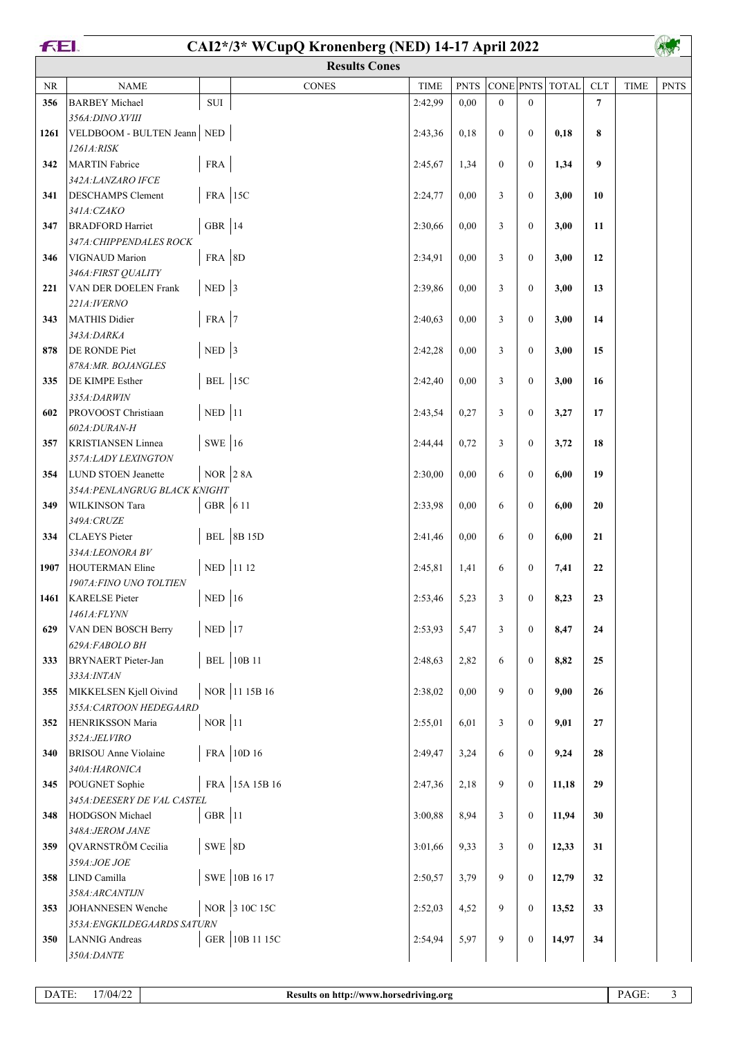#### **CAI2\*/3\* WCupQ Kronenberg (NED) 14-17 April 2022**

A

|          |                                                      |            | <b>Results Cones</b> |             |             |                |                  |                 |                |             | <b>Vin</b>  |
|----------|------------------------------------------------------|------------|----------------------|-------------|-------------|----------------|------------------|-----------------|----------------|-------------|-------------|
| $\rm NR$ | <b>NAME</b>                                          |            | <b>CONES</b>         | <b>TIME</b> | <b>PNTS</b> |                |                  | CONE PNTS TOTAL | <b>CLT</b>     | <b>TIME</b> | <b>PNTS</b> |
| 356      | <b>BARBEY</b> Michael                                | $\rm SUI$  |                      | 2:42,99     | 0.00        | $\overline{0}$ | $\mathbf{0}$     |                 | $\overline{7}$ |             |             |
|          | 356A: DINO XVIII                                     |            |                      |             |             |                |                  |                 |                |             |             |
| 1261     | VELDBOOM - BULTEN Jeann NED                          |            |                      | 2:43,36     | 0,18        | $\overline{0}$ | $\mathbf{0}$     | 0,18            | 8              |             |             |
|          | 1261A:RISK                                           |            |                      |             |             |                |                  |                 |                |             |             |
| 342      | <b>MARTIN</b> Fabrice                                | <b>FRA</b> |                      | 2:45,67     | 1,34        | $\theta$       | $\mathbf{0}$     | 1,34            | 9              |             |             |
|          | 342A: LANZARO IFCE                                   |            |                      |             |             |                |                  |                 |                |             |             |
| 341      | <b>DESCHAMPS</b> Clement                             | FRA 15C    |                      | 2:24,77     | 0,00        | 3              | $\mathbf{0}$     | 3,00            | 10             |             |             |
|          | 341A: CZAKO                                          |            |                      |             |             |                |                  |                 |                |             |             |
| 347      | <b>BRADFORD</b> Harriet                              | GBR $ 14$  |                      | 2:30,66     | 0,00        | 3              | $\mathbf{0}$     | 3,00            | 11             |             |             |
|          | 347A: CHIPPENDALES ROCK                              |            |                      |             |             |                |                  |                 |                |             |             |
| 346      | VIGNAUD Marion                                       | FRA 8D     |                      | 2:34,91     | 0,00        | 3              | $\mathbf{0}$     | 3,00            | 12             |             |             |
| 221      | 346A: FIRST QUALITY<br>VAN DER DOELEN Frank          | $NED$ 3    |                      | 2:39,86     | 0,00        | 3              | $\mathbf{0}$     | 3,00            | 13             |             |             |
|          | 221A: IVERNO                                         |            |                      |             |             |                |                  |                 |                |             |             |
| 343      | MATHIS Didier                                        | FRA 7      |                      | 2:40,63     | 0,00        | 3              | $\mathbf{0}$     | 3,00            | 14             |             |             |
|          | 343A:DARKA                                           |            |                      |             |             |                |                  |                 |                |             |             |
| 878      | DE RONDE Piet                                        | $NED$ 3    |                      | 2:42,28     | 0,00        | 3              | $\mathbf{0}$     | 3,00            | 15             |             |             |
|          | 878A:MR. BOJANGLES                                   |            |                      |             |             |                |                  |                 |                |             |             |
| 335      | <b>DE KIMPE Esther</b>                               | BEL $ 15C$ |                      | 2:42,40     | 0,00        | 3              | $\boldsymbol{0}$ | 3,00            | 16             |             |             |
|          | 335A:DARWIN                                          |            |                      |             |             |                |                  |                 |                |             |             |
| 602      | PROVOOST Christiaan                                  | $NED$ 11   |                      | 2:43,54     | 0,27        | 3              | $\mathbf{0}$     | 3,27            | 17             |             |             |
|          | 602A:DURAN-H                                         |            |                      |             |             |                |                  |                 |                |             |             |
| 357      | <b>KRISTIANSEN Linnea</b>                            | SWE 16     |                      | 2:44,44     | 0,72        | 3              | $\mathbf{0}$     | 3,72            | 18             |             |             |
|          | 357A:LADY LEXINGTON                                  |            |                      |             |             |                |                  |                 |                |             |             |
| 354      | LUND STOEN Jeanette<br>354A: PENLANGRUG BLACK KNIGHT | $NOR$ 2 8A |                      | 2:30,00     | 0,00        | 6              | $\mathbf{0}$     | 6,00            | 19             |             |             |
| 349      | <b>WILKINSON</b> Tara                                | GBR 6 11   |                      | 2:33,98     | 0,00        | 6              | $\mathbf{0}$     | 6,00            | 20             |             |             |
|          | 349A: CRUZE                                          |            |                      |             |             |                |                  |                 |                |             |             |
| 334      | CLAEYS Pieter                                        |            | <b>BEL</b> 8B 15D    | 2:41,46     | 0,00        | 6              | $\boldsymbol{0}$ | 6,00            | 21             |             |             |
|          | 334A:LEONORA BV                                      |            |                      |             |             |                |                  |                 |                |             |             |
| 1907     | HOUTERMAN Eline                                      |            | NED 11 12            | 2:45,81     | 1,41        | 6              | $\boldsymbol{0}$ | 7,41            | 22             |             |             |
|          | 1907A: FINO UNO TOLTIEN                              |            |                      |             |             |                |                  |                 |                |             |             |
| 1461     | <b>KARELSE</b> Pieter                                | $NED$ 16   |                      | 2:53,46     | 5,23        | 3              | $\boldsymbol{0}$ | 8,23            | 23             |             |             |
|          | 1461A:FLYNN                                          |            |                      |             |             |                |                  |                 |                |             |             |
| 629      | VAN DEN BOSCH Berry                                  | $NED$ 17   |                      | 2:53,93     | 5,47        | 3              | $\boldsymbol{0}$ | 8,47            | 24             |             |             |
|          | 629A:FABOLO BH                                       |            |                      |             |             |                |                  |                 |                |             |             |
| 333      | <b>BRYNAERT</b> Pieter-Jan                           |            | <b>BEL</b> 10B 11    | 2:48,63     | 2,82        | 6              | $\mathbf{0}$     | 8,82            | 25             |             |             |
| 355      | 333A: INTAN<br>MIKKELSEN Kjell Oivind                |            | NOR 11 15B 16        | 2:38,02     | 0,00        | 9              | $\overline{0}$   | 9,00            | 26             |             |             |
|          | 355A: CARTOON HEDEGAARD                              |            |                      |             |             |                |                  |                 |                |             |             |
| 352      | HENRIKSSON Maria                                     | $NOR$ 11   |                      | 2:55,01     | 6,01        | 3              | $\boldsymbol{0}$ | 9,01            | 27             |             |             |
|          | 352A:JELVIRO                                         |            |                      |             |             |                |                  |                 |                |             |             |
| 340      | <b>BRISOU</b> Anne Violaine                          |            | FRA 10D 16           | 2:49,47     | 3,24        | 6              | $\mathbf{0}$     | 9,24            | 28             |             |             |
|          | 340A:HARONICA                                        |            |                      |             |             |                |                  |                 |                |             |             |
| 345      | POUGNET Sophie                                       |            | FRA 15A 15B 16       | 2:47,36     | 2,18        | 9              | $\mathbf{0}$     | 11,18           | 29             |             |             |
|          | 345A: DEESERY DE VAL CASTEL                          |            |                      |             |             |                |                  |                 |                |             |             |
| 348      | HODGSON Michael                                      | GBR $ 11$  |                      | 3:00,88     | 8,94        | 3              | $\boldsymbol{0}$ | 11,94           | 30             |             |             |
|          | 348A: JEROM JANE                                     |            |                      |             |             |                |                  |                 |                |             |             |
| 359      | QVARNSTRÖM Cecilia                                   | $SWE$ 8D   |                      | 3:01,66     | 9,33        | 3              | $\boldsymbol{0}$ | 12,33           | 31             |             |             |
| 358      | 359A:JOE JOE<br>LIND Camilla                         |            | SWE 10B 16 17        | 2:50,57     | 3,79        | 9              | $\boldsymbol{0}$ | 12,79           | 32             |             |             |
|          | 358A:ARCANTIJN                                       |            |                      |             |             |                |                  |                 |                |             |             |
| 353      | JOHANNESEN Wenche                                    |            | NOR 3 10C 15C        | 2:52,03     | 4,52        | 9              | $\mathbf{0}$     | 13,52           | 33             |             |             |
|          | 353A: ENGKILDEGAARDS SATURN                          |            |                      |             |             |                |                  |                 |                |             |             |
| 350      | <b>LANNIG</b> Andreas                                |            | GER 10B 11 15C       | 2:54,94     | 5,97        | 9              | $\mathbf{0}$     | 14,97           | 34             |             |             |
|          | 350A:DANTE                                           |            |                      |             |             |                |                  |                 |                |             |             |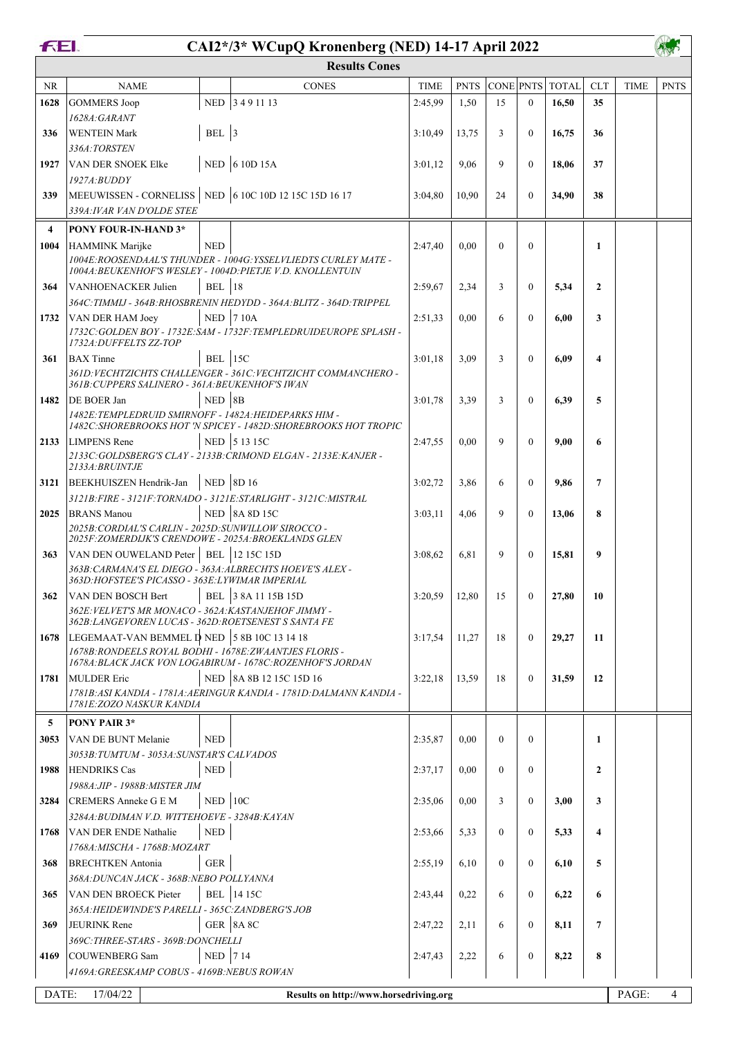# **CAI2\*/3\* WCupQ Kronenberg (NED) 14-17 April 2022**

|           | <b>Results Cones</b>                                                                                        |               |                                                                                                                              |             |             |                  |                  |              |                         |             |             |  |  |
|-----------|-------------------------------------------------------------------------------------------------------------|---------------|------------------------------------------------------------------------------------------------------------------------------|-------------|-------------|------------------|------------------|--------------|-------------------------|-------------|-------------|--|--|
| <b>NR</b> | <b>NAME</b>                                                                                                 |               | <b>CONES</b>                                                                                                                 | <b>TIME</b> | <b>PNTS</b> | <b>CONE PNTS</b> |                  | <b>TOTAL</b> | <b>CLT</b>              | <b>TIME</b> | <b>PNTS</b> |  |  |
| 1628      | <b>GOMMERS Joop</b>                                                                                         | <b>NED</b>    | 3491113                                                                                                                      | 2:45,99     | 1,50        | 15               | $\Omega$         | 16,50        | 35                      |             |             |  |  |
|           | 1628A:GARANT                                                                                                |               |                                                                                                                              |             |             |                  |                  |              |                         |             |             |  |  |
| 336       | <b>WENTEIN Mark</b>                                                                                         | BEL $ 3$      |                                                                                                                              | 3:10,49     | 13,75       | 3                | $\mathbf{0}$     | 16,75        | 36                      |             |             |  |  |
|           | 336A:TORSTEN                                                                                                |               |                                                                                                                              |             |             |                  |                  |              |                         |             |             |  |  |
| 1927      | VAN DER SNOEK Elke                                                                                          |               | NED 6 10D 15A                                                                                                                | 3:01,12     | 9,06        | 9                | $\mathbf{0}$     | 18,06        | 37                      |             |             |  |  |
|           | 1927A: BUDDY                                                                                                |               |                                                                                                                              |             |             |                  |                  |              |                         |             |             |  |  |
| 339       | MEEUWISSEN - CORNELISS   NED 6 10C 10D 12 15C 15D 16 17                                                     |               |                                                                                                                              | 3:04,80     | 10,90       | 24               | $\mathbf{0}$     | 34,90        | 38                      |             |             |  |  |
|           | 339A: IVAR VAN D'OLDE STEE                                                                                  |               |                                                                                                                              |             |             |                  |                  |              |                         |             |             |  |  |
|           |                                                                                                             |               |                                                                                                                              |             |             |                  |                  |              |                         |             |             |  |  |
| 4         | PONY FOUR-IN-HAND 3*                                                                                        |               |                                                                                                                              |             |             |                  |                  |              |                         |             |             |  |  |
| 1004      | HAMMINK Marijke                                                                                             | <b>NED</b>    |                                                                                                                              | 2:47,40     | 0.00        | $\theta$         | $\mathbf{0}$     |              | 1                       |             |             |  |  |
|           |                                                                                                             |               | 1004E:ROOSENDAAL'S THUNDER - 1004G: YSSELVLIEDTS CURLEY MATE -<br>1004A: BEUKENHOF'S WESLEY - 1004D: PIETJE V.D. KNOLLENTUIN |             |             |                  |                  |              |                         |             |             |  |  |
| 364       | VANHOENACKER Julien                                                                                         | <b>BEL</b> 18 |                                                                                                                              | 2:59,67     | 2,34        | 3                | $\mathbf{0}$     | 5,34         | $\mathbf{2}$            |             |             |  |  |
|           |                                                                                                             |               | 364C: TIMMIJ - 364B: RHOSBRENIN HEDYDD - 364A: BLITZ - 364D: TRIPPEL                                                         |             |             |                  |                  |              |                         |             |             |  |  |
| 1732      | VAN DER HAM Joey                                                                                            |               | <b>NED 710A</b>                                                                                                              | 2:51,33     | 0,00        | 6                | $\mathbf{0}$     | 6,00         | 3                       |             |             |  |  |
|           |                                                                                                             |               | 1732C: GOLDEN BOY - 1732E: SAM - 1732F: TEMPLEDRUIDEUROPE SPLASH -                                                           |             |             |                  |                  |              |                         |             |             |  |  |
|           | 1732A: DUFFELTS ZZ-TOP                                                                                      |               |                                                                                                                              |             |             |                  |                  |              |                         |             |             |  |  |
| 361       | <b>BAX</b> Tinne                                                                                            | BEL $ 15C$    |                                                                                                                              | 3:01,18     | 3.09        | 3                | $\mathbf{0}$     | 6,09         | 4                       |             |             |  |  |
|           |                                                                                                             |               | 361D: VECHTZICHTS CHALLENGER - 361C: VECHTZICHT COMMANCHERO -                                                                |             |             |                  |                  |              |                         |             |             |  |  |
|           | 361B: CUPPERS SALINERO - 361A: BEUKENHOF'S IWAN                                                             |               |                                                                                                                              |             |             |                  |                  |              |                         |             |             |  |  |
| 1482      | <b>DE BOER Jan</b>                                                                                          | $NED$ 8B      |                                                                                                                              | 3:01.78     | 3,39        | 3                | $\mathbf{0}$     | 6,39         | 5                       |             |             |  |  |
|           | 1482E: TEMPLEDRUID SMIRNOFF - 1482A: HEIDEPARKS HIM -                                                       |               | 1482C: SHOREBROOKS HOT 'N SPICEY - 1482D: SHOREBROOKS HOT TROPIC                                                             |             |             |                  |                  |              |                         |             |             |  |  |
| 2133      | <b>LIMPENS</b> Rene                                                                                         |               | NED 5 13 15C                                                                                                                 | 2:47,55     | 0.00        | 9                | $\mathbf{0}$     | 9,00         | 6                       |             |             |  |  |
|           |                                                                                                             |               | 2133C: GOLDSBERG'S CLAY - 2133B: CRIMOND ELGAN - 2133E: KANJER -                                                             |             |             |                  |                  |              |                         |             |             |  |  |
|           | 2133A: BRUINTJE                                                                                             |               |                                                                                                                              |             |             |                  |                  |              |                         |             |             |  |  |
| 3121      | BEEKHUISZEN Hendrik-Jan                                                                                     |               | NED 8D 16                                                                                                                    | 3:02,72     | 3,86        | 6                | $\mathbf{0}$     | 9,86         | 7                       |             |             |  |  |
|           |                                                                                                             |               | 3121B: FIRE - 3121F: TORNADO - 3121E: STARLIGHT - 3121C: MISTRAL                                                             |             |             |                  |                  |              |                         |             |             |  |  |
| 2025      | <b>BRANS Manou</b>                                                                                          |               | <b>NED</b> 8A 8D 15C                                                                                                         | 3:03,11     | 4,06        | 9                | $\mathbf{0}$     | 13,06        | 8                       |             |             |  |  |
|           | 2025B: CORDIAL'S CARLIN - 2025D: SUNWILLOW SIROCCO -                                                        |               |                                                                                                                              |             |             |                  |                  |              |                         |             |             |  |  |
|           | 2025F:ZOMERDIJK'S CRENDOWE - 2025A:BROEKLANDS GLEN                                                          |               |                                                                                                                              |             |             |                  |                  |              |                         |             |             |  |  |
| 363       | VAN DEN OUWELAND Peter   BEL   12 15C 15D                                                                   |               |                                                                                                                              | 3:08,62     | 6.81        | 9                | $\mathbf{0}$     | 15,81        | 9                       |             |             |  |  |
|           | 363B: CARMANA'S EL DIEGO - 363A: ALBRECHTS HOEVE'S ALEX -<br>363D:HOFSTEE'S PICASSO - 363E:LYWIMAR IMPERIAL |               |                                                                                                                              |             |             |                  |                  |              |                         |             |             |  |  |
|           | VAN DEN BOSCH Bert                                                                                          |               |                                                                                                                              |             |             |                  |                  |              |                         |             |             |  |  |
| 362       | 362E: VELVET'S MR MONACO - 362A: KASTANJEHOF JIMMY -                                                        |               | BEL 38A 11 15B 15D                                                                                                           | 3:20,59     | 12,80       | 15               | $\mathbf{0}$     | 27,80        | 10                      |             |             |  |  |
|           | 362B: LANGEVOREN LUCAS - 362D: ROETSENEST S SANTA FE                                                        |               |                                                                                                                              |             |             |                  |                  |              |                         |             |             |  |  |
| 1678      | LEGEMAAT-VAN BEMMEL D NED 5 8B 10C 13 14 18                                                                 |               |                                                                                                                              | 3:17,54     | 11,27       | 18               | $\boldsymbol{0}$ | 29,27        | 11                      |             |             |  |  |
|           | 1678B: RONDEELS ROYAL BODHI - 1678E: ZWAANTJES FLORIS -                                                     |               |                                                                                                                              |             |             |                  |                  |              |                         |             |             |  |  |
|           |                                                                                                             |               | 1678A; BLACK JACK VON LOGABIRUM - 1678C; ROZENHOF'S JORDAN                                                                   |             |             |                  |                  |              |                         |             |             |  |  |
| 1781      | <b>MULDER</b> Eric                                                                                          |               | NED 8A 8B 12 15C 15D 16                                                                                                      | 3:22,18     | 13,59       | 18               | $\boldsymbol{0}$ | 31,59        | 12                      |             |             |  |  |
|           | <i>1781E: ZOZO NASKUR KANDIA</i>                                                                            |               | 1781B: ASI KANDIA - 1781A: AERINGUR KANDIA - 1781D: DALMANN KANDIA -                                                         |             |             |                  |                  |              |                         |             |             |  |  |
|           |                                                                                                             |               |                                                                                                                              |             |             |                  |                  |              |                         |             |             |  |  |
| 5         | <b>PONY PAIR 3*</b>                                                                                         |               |                                                                                                                              |             |             |                  |                  |              |                         |             |             |  |  |
| 3053      | VAN DE BUNT Melanie                                                                                         | <b>NED</b>    |                                                                                                                              | 2:35,87     | 0,00        | $\Omega$         | $\mathbf{0}$     |              | 1                       |             |             |  |  |
|           | 3053B: TUMTUM - 3053A: SUNSTAR'S CALVADOS                                                                   |               |                                                                                                                              |             |             |                  |                  |              |                         |             |             |  |  |
| 1988      | <b>HENDRIKS Cas</b>                                                                                         | <b>NED</b>    |                                                                                                                              | 2:37,17     | 0,00        | $\mathbf{0}$     | $\boldsymbol{0}$ |              | $\overline{2}$          |             |             |  |  |
|           | 1988A:JIP - 1988B:MISTER JIM                                                                                |               |                                                                                                                              |             |             |                  |                  |              |                         |             |             |  |  |
| 3284      | CREMERS Anneke G E M                                                                                        | $NED$   10C   |                                                                                                                              | 2:35,06     | 0,00        | 3                | $\mathbf{0}$     | 3,00         | 3                       |             |             |  |  |
|           | 3284A: BUDIMAN V.D. WITTEHOEVE - 3284B: KAYAN                                                               |               |                                                                                                                              |             |             |                  |                  |              |                         |             |             |  |  |
| 1768      | VAN DER ENDE Nathalie                                                                                       | <b>NED</b>    |                                                                                                                              | 2:53,66     | 5,33        | $\mathbf{0}$     | $\mathbf{0}$     | 5,33         | $\overline{\mathbf{4}}$ |             |             |  |  |
|           | 1768A: MISCHA - 1768B: MOZART                                                                               |               |                                                                                                                              |             |             |                  |                  |              |                         |             |             |  |  |
| 368       | <b>BRECHTKEN Antonia</b>                                                                                    | <b>GER</b>    |                                                                                                                              | 2:55,19     | 6,10        | $\mathbf{0}$     | $\mathbf{0}$     | 6,10         | 5                       |             |             |  |  |
|           | 368A: DUNCAN JACK - 368B: NEBO POLLYANNA                                                                    |               |                                                                                                                              |             |             |                  |                  |              |                         |             |             |  |  |
| 365       | VAN DEN BROECK Pieter                                                                                       |               | <b>BEL</b>   14 15C                                                                                                          | 2:43,44     | 0,22        | 6                | $\mathbf{0}$     | 6,22         | 6                       |             |             |  |  |
|           | 365A: HEIDEWINDE'S PARELLI - 365C: ZANDBERG'S JOB                                                           |               |                                                                                                                              |             |             |                  |                  |              |                         |             |             |  |  |
| 369       | JEURINK Rene                                                                                                |               | GER 8A 8C                                                                                                                    | 2:47,22     | 2,11        | 6                | $\boldsymbol{0}$ | 8,11         | 7                       |             |             |  |  |
|           | 369C:THREE-STARS - 369B:DONCHELLI                                                                           |               |                                                                                                                              |             |             |                  |                  |              |                         |             |             |  |  |
| 4169      | COUWENBERG Sam                                                                                              | <b>NED</b>    | 714                                                                                                                          | 2:47,43     | 2,22        | 6                | $\boldsymbol{0}$ | 8,22         | 8                       |             |             |  |  |
|           | 4169A:GREESKAMP COBUS - 4169B:NEBUS ROWAN                                                                   |               |                                                                                                                              |             |             |                  |                  |              |                         |             |             |  |  |
| DATE:     | 17/04/22                                                                                                    |               | Results on http://www.horsedriving.org                                                                                       |             |             |                  |                  |              |                         | PAGE:       | 4           |  |  |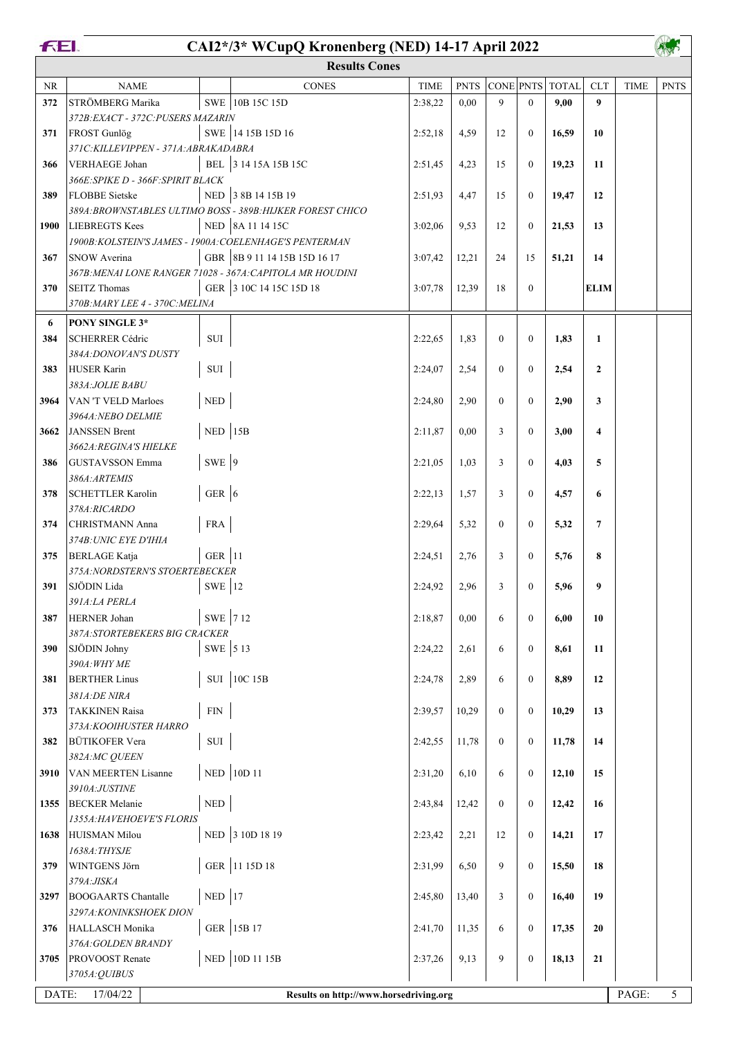|      | <b>FEI.</b><br>CAI2*/3* WCupQ Kronenberg (NED) 14-17 April 2022 |                             |                                                             |             |             |                  |                  |       |                 |             |                |  |
|------|-----------------------------------------------------------------|-----------------------------|-------------------------------------------------------------|-------------|-------------|------------------|------------------|-------|-----------------|-------------|----------------|--|
|      |                                                                 |                             | <b>Results Cones</b>                                        |             |             |                  |                  |       |                 |             |                |  |
| NR   | <b>NAME</b>                                                     |                             | <b>CONES</b>                                                | <b>TIME</b> | <b>PNTS</b> | CONE PNTS        |                  | TOTAL | <b>CLT</b>      | <b>TIME</b> | <b>PNTS</b>    |  |
| 372  | STRÖMBERG Marika                                                |                             | SWE 10B 15C 15D                                             | 2:38,22     | 0.00        | 9                | $\theta$         | 9,00  | 9               |             |                |  |
|      | 372B: EXACT - 372C: PUSERS MAZARIN                              |                             |                                                             |             |             |                  |                  |       |                 |             |                |  |
| 371  | FROST Gunlög                                                    |                             | SWE 14 15B 15D 16                                           | 2:52,18     | 4,59        | 12               | $\overline{0}$   | 16,59 | 10              |             |                |  |
|      | 371C: KILLEVIPPEN - 371A: ABRAKADABRA                           |                             |                                                             |             |             |                  |                  |       |                 |             |                |  |
| 366  | VERHAEGE Johan                                                  |                             | BEL 3 14 15A 15B 15C                                        | 2:51,45     | 4,23        | 15               | $\overline{0}$   | 19,23 | 11              |             |                |  |
| 389  | 366E: SPIKE D - 366F: SPIRIT BLACK<br><b>FLOBBE</b> Sietske     |                             | NED 3 8B 14 15B 19                                          | 2:51,93     | 4,47        | 15               | $\overline{0}$   | 19,47 | 12              |             |                |  |
|      |                                                                 |                             | 389A: BROWNSTABLES ULTIMO BOSS - 389B: HIJKER FOREST CHICO  |             |             |                  |                  |       |                 |             |                |  |
| 1900 | <b>LIEBREGTS Kees</b>                                           |                             | NED 8A 11 14 15C                                            | 3:02,06     | 9,53        | 12               | $\overline{0}$   | 21,53 | 13              |             |                |  |
|      | 1900B: KOLSTEIN'S JAMES - 1900A: COELENHAGE'S PENTERMAN         |                             |                                                             |             |             |                  |                  |       |                 |             |                |  |
| 367  | <b>SNOW Averina</b>                                             |                             | GBR 8B 9 11 14 15B 15D 16 17                                | 3:07,42     | 12,21       | 24               | 15               | 51,21 | 14              |             |                |  |
|      | 367B: MENAI LONE RANGER 71028 - 367A: CAPITOLA MR HOUDINI       |                             |                                                             |             |             |                  |                  |       |                 |             |                |  |
| 370  | <b>SEITZ</b> Thomas                                             |                             | GER 3 10C 14 15C 15D 18                                     | 3:07,78     | 12,39       | 18               | $\overline{0}$   |       | <b>ELIM</b>     |             |                |  |
|      | 370B: MARY LEE 4 - 370C: MELINA                                 |                             |                                                             |             |             |                  |                  |       |                 |             |                |  |
| 6    | PONY SINGLE 3*                                                  |                             |                                                             |             |             |                  |                  |       |                 |             |                |  |
| 384  | <b>SCHERRER Cédric</b>                                          | $\rm SUI$                   |                                                             | 2:22,65     | 1,83        | $\mathbf{0}$     | $\mathbf{0}$     | 1,83  | $\mathbf{1}$    |             |                |  |
|      | 384A: DONOVAN'S DUSTY                                           |                             |                                                             |             |             |                  |                  |       |                 |             |                |  |
| 383  | <b>HUSER Karin</b>                                              | $\rm SUI$                   |                                                             | 2:24,07     | 2,54        | $\mathbf{0}$     | $\mathbf{0}$     | 2,54  | $\mathbf{2}$    |             |                |  |
|      | 383A: JOLIE BABU                                                |                             |                                                             |             |             |                  |                  |       |                 |             |                |  |
| 3964 | VAN 'T VELD Marloes<br>3964A: NEBO DELMIE                       | $\ensuremath{\mathsf{NED}}$ |                                                             | 2:24,80     | 2,90        | $\mathbf{0}$     | $\overline{0}$   | 2,90  | 3               |             |                |  |
| 3662 | JANSSEN Brent                                                   | $NED$ 15B                   |                                                             | 2:11,87     | 0.00        | 3                | $\overline{0}$   | 3,00  | 4               |             |                |  |
|      | <b>3662A:REGINA'S HIELKE</b>                                    |                             |                                                             |             |             |                  |                  |       |                 |             |                |  |
| 386  | <b>GUSTAVSSON</b> Emma                                          | SWE 9                       |                                                             | 2:21,05     | 1,03        | 3                | $\overline{0}$   | 4,03  | 5               |             |                |  |
|      | 386A: ARTEMIS                                                   |                             |                                                             |             |             |                  |                  |       |                 |             |                |  |
| 378  | <b>SCHETTLER Karolin</b>                                        | GER $ 6$                    |                                                             | 2:22,13     | 1,57        | 3                | $\overline{0}$   | 4,57  | 6               |             |                |  |
|      | 378A:RICARDO                                                    |                             |                                                             |             |             |                  |                  |       |                 |             |                |  |
| 374  | <b>CHRISTMANN Anna</b>                                          | <b>FRA</b>                  |                                                             | 2:29,64     | 5,32        | $\mathbf{0}$     | $\overline{0}$   | 5,32  | $7\phantom{.0}$ |             |                |  |
|      | 374B: UNIC EYE D'IHIA                                           |                             |                                                             |             |             |                  |                  |       |                 |             |                |  |
| 375  | <b>BERLAGE</b> Katja                                            | GER $ 11$                   |                                                             | 2:24,51     | 2,76        | 3                | $\theta$         | 5,76  | 8               |             |                |  |
|      | 375A: NORDSTERN'S STOERTEBECKER<br>391 SJÖDIN Lida              | $SWE$   12                  |                                                             | 2:24,92     | 2,96        | $\mathfrak{Z}$   | $\overline{0}$   | 5,96  | 9               |             |                |  |
|      | 391A:LA PERLA                                                   |                             |                                                             |             |             |                  |                  |       |                 |             |                |  |
| 387  | HERNER Johan                                                    | SWE 712                     |                                                             | 2:18,87     | 0,00        | 6                | $\overline{0}$   | 6,00  | 10              |             |                |  |
|      | 387A: STORTEBEKERS BIG CRACKER                                  |                             |                                                             |             |             |                  |                  |       |                 |             |                |  |
| 390  | SJÖDIN Johny                                                    | SWE 5 13                    |                                                             | 2:24,22     | 2,61        | 6                | $\boldsymbol{0}$ | 8,61  | 11              |             |                |  |
|      | 390A: WHY ME                                                    |                             |                                                             |             |             |                  |                  |       |                 |             |                |  |
| 381  | <b>BERTHER Linus</b>                                            |                             | SUI 10C 15B                                                 | 2:24,78     | 2,89        | 6                | $\overline{0}$   | 8,89  | 12              |             |                |  |
|      | 381A:DE NIRA                                                    |                             |                                                             |             |             |                  |                  |       |                 |             |                |  |
| 373  | <b>TAKKINEN Raisa</b>                                           | ${\rm FIN}$                 |                                                             | 2:39,57     | 10,29       | $\boldsymbol{0}$ | $\boldsymbol{0}$ | 10,29 | 13              |             |                |  |
|      | 373A: KOOIHUSTER HARRO<br><b>BÜTIKOFER Vera</b>                 | $\rm SUI$                   |                                                             |             |             | $\overline{0}$   |                  |       |                 |             |                |  |
| 382  | 382A:MC QUEEN                                                   |                             |                                                             | 2:42,55     | 11,78       |                  | $\boldsymbol{0}$ | 11,78 | 14              |             |                |  |
| 3910 | <b>VAN MEERTEN Lisanne</b>                                      |                             | NED 10D 11                                                  | 2:31,20     | 6,10        | 6                | $\boldsymbol{0}$ | 12,10 | 15              |             |                |  |
|      | 3910A:JUSTINE                                                   |                             |                                                             |             |             |                  |                  |       |                 |             |                |  |
| 1355 | <b>BECKER</b> Melanie                                           | $\ensuremath{\mathsf{NED}}$ |                                                             | 2:43,84     | 12,42       | $\mathbf{0}$     | $\overline{0}$   | 12,42 | 16              |             |                |  |
|      | 1355A: HAVEHOEVE'S FLORIS                                       |                             |                                                             |             |             |                  |                  |       |                 |             |                |  |
| 1638 | HUISMAN Milou                                                   |                             | NED 3 10D 18 19                                             | 2:23,42     | 2,21        | 12               | $\overline{0}$   | 14,21 | 17              |             |                |  |
|      | 1638A: THYSJE                                                   |                             |                                                             |             |             |                  |                  |       |                 |             |                |  |
| 379  | WINTGENS Jörn                                                   |                             | GER 11 15D 18                                               | 2:31,99     | 6,50        | 9                | $\boldsymbol{0}$ | 15,50 | 18              |             |                |  |
|      | 379A: JISKA                                                     |                             |                                                             |             |             |                  |                  |       |                 |             |                |  |
| 3297 | <b>BOOGAARTS Chantalle</b>                                      | $NED$ 17                    |                                                             | 2:45,80     | 13,40       | 3                | $\boldsymbol{0}$ | 16,40 | 19              |             |                |  |
|      | 3297A: KONINKSHOEK DION                                         |                             |                                                             |             |             |                  |                  |       |                 |             |                |  |
| 376  | HALLASCH Monika                                                 |                             | GER 15B 17                                                  | 2:41,70     | 11,35       | 6                | $\boldsymbol{0}$ | 17,35 | 20              |             |                |  |
| 3705 | 376A: GOLDEN BRANDY<br><b>PROVOOST</b> Renate                   |                             | NED 10D 11 15B                                              | 2:37,26     | 9,13        | 9                | $\overline{0}$   | 18,13 | 21              |             |                |  |
|      | 3705A: QUIBUS                                                   |                             |                                                             |             |             |                  |                  |       |                 |             |                |  |
|      |                                                                 |                             |                                                             |             |             |                  |                  |       |                 | PAGE:       | 5 <sup>1</sup> |  |
|      |                                                                 |                             | DATE:<br>17/04/22<br>Results on http://www.horsedriving.org |             |             |                  |                  |       |                 |             |                |  |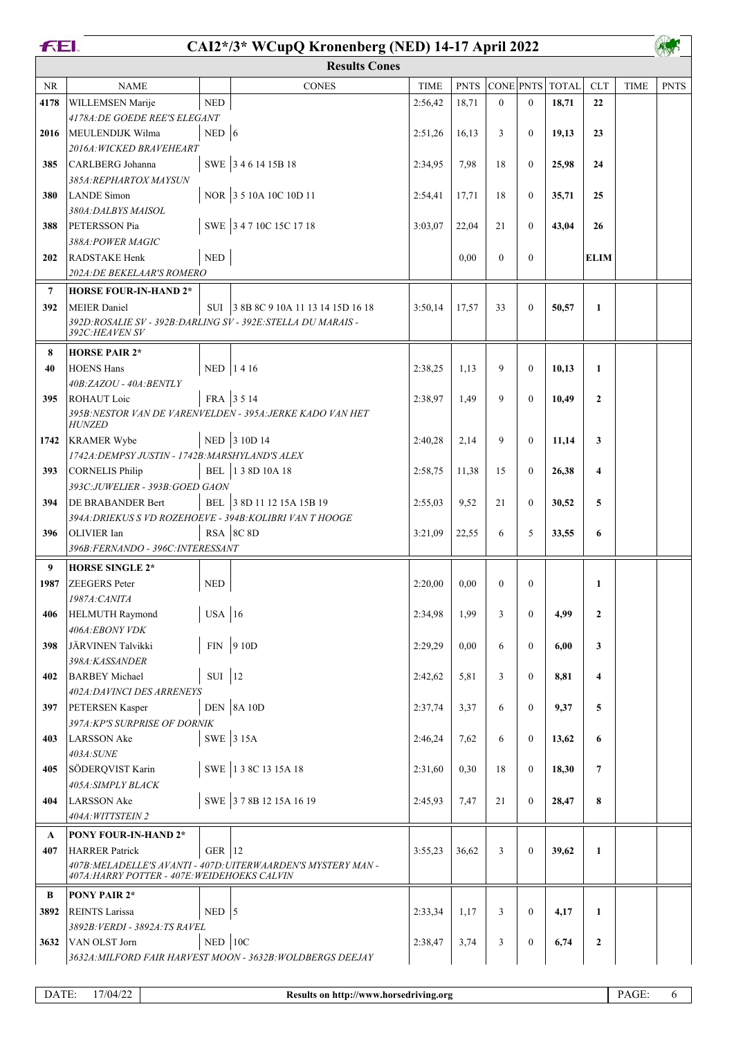|              | FEI.<br>CAI2*/3* WCupQ Kronenberg (NED) 14-17 April 2022                      |                             |                                                               |             |             |                |                  |                 |                         |             |             |  |  |
|--------------|-------------------------------------------------------------------------------|-----------------------------|---------------------------------------------------------------|-------------|-------------|----------------|------------------|-----------------|-------------------------|-------------|-------------|--|--|
|              |                                                                               |                             | <b>Results Cones</b>                                          |             |             |                |                  |                 |                         |             |             |  |  |
| <b>NR</b>    | <b>NAME</b>                                                                   |                             | <b>CONES</b>                                                  | <b>TIME</b> | <b>PNTS</b> |                |                  | CONE PNTS TOTAL | <b>CLT</b>              | <b>TIME</b> | <b>PNTS</b> |  |  |
| 4178         | WILLEMSEN Marije                                                              | <b>NED</b>                  |                                                               | 2:56,42     | 18,71       | $\theta$       | $\theta$         | 18,71           | 22                      |             |             |  |  |
|              | 4178A: DE GOEDE REE'S ELEGANT                                                 |                             |                                                               |             |             |                |                  |                 |                         |             |             |  |  |
| 2016         | MEULENDIJK Wilma                                                              | NED $ 6$                    |                                                               | 2:51,26     | 16,13       | 3              | $\mathbf{0}$     | 19,13           | 23                      |             |             |  |  |
|              | 2016A: WICKED BRAVEHEART                                                      |                             |                                                               |             |             |                |                  |                 |                         |             |             |  |  |
| 385          | CARLBERG Johanna                                                              |                             | SWE 3461415B18                                                | 2:34,95     | 7,98        | 18             | $\theta$         | 25,98           | 24                      |             |             |  |  |
| 380          | 385A: REPHARTOX MAYSUN<br><b>LANDE</b> Simon                                  |                             | NOR 3 5 10A 10C 10D 11                                        |             | 17,71       | 18             | $\mathbf{0}$     | 35,71           | 25                      |             |             |  |  |
|              | 380A: DALBYS MAISOL                                                           |                             |                                                               | 2:54,41     |             |                |                  |                 |                         |             |             |  |  |
| 388          | PETERSSON Pia                                                                 |                             | SWE 3 4 7 10C 15C 17 18                                       | 3:03,07     | 22,04       | 21             | $\mathbf{0}$     | 43,04           | 26                      |             |             |  |  |
|              | 388A: POWER MAGIC                                                             |                             |                                                               |             |             |                |                  |                 |                         |             |             |  |  |
| 202          | RADSTAKE Henk                                                                 | $\ensuremath{\mathsf{NED}}$ |                                                               |             | 0.00        | $\theta$       | $\mathbf{0}$     |                 | <b>ELIM</b>             |             |             |  |  |
|              | 202A: DE BEKELAAR'S ROMERO                                                    |                             |                                                               |             |             |                |                  |                 |                         |             |             |  |  |
| 7            | <b>HORSE FOUR-IN-HAND 2*</b>                                                  |                             |                                                               |             |             |                |                  |                 |                         |             |             |  |  |
| 392          | <b>MEIER</b> Daniel                                                           |                             | SUI 3 8B 8C 9 10A 11 13 14 15D 16 18                          | 3:50,14     | 17,57       | 33             | $\theta$         | 50,57           | $\mathbf{1}$            |             |             |  |  |
|              | 392D:ROSALIE SV - 392B:DARLING SV - 392E:STELLA DU MARAIS -<br>392C:HEAVEN SV |                             |                                                               |             |             |                |                  |                 |                         |             |             |  |  |
| 8            | <b>HORSE PAIR 2*</b>                                                          |                             |                                                               |             |             |                |                  |                 |                         |             |             |  |  |
| 40           | <b>HOENS Hans</b>                                                             |                             | NED 1416                                                      | 2:38,25     | 1.13        | 9              | $\mathbf{0}$     | 10,13           | $\mathbf{1}$            |             |             |  |  |
|              | 40B:ZAZOU - 40A:BENTLY                                                        |                             |                                                               |             |             |                |                  |                 |                         |             |             |  |  |
| 395          | ROHAUT Loic                                                                   |                             | FRA 3514                                                      | 2:38,97     | 1,49        | 9              | $\mathbf{0}$     | 10,49           | $\overline{2}$          |             |             |  |  |
|              |                                                                               |                             | 395B: NESTOR VAN DE VARENVELDEN - 395A: JERKE KADO VAN HET    |             |             |                |                  |                 |                         |             |             |  |  |
| 1742         | <b>HUNZED</b><br><b>KRAMER Wybe</b>                                           |                             | NED 3 10D 14                                                  | 2:40,28     | 2,14        | 9              | $\theta$         | 11,14           | 3                       |             |             |  |  |
|              | 1742A: DEMPSY JUSTIN - 1742B: MARSHYLAND'S ALEX                               |                             |                                                               |             |             |                |                  |                 |                         |             |             |  |  |
| 393          | CORNELIS Philip                                                               |                             | BEL 138D 10A 18                                               | 2:58,75     | 11,38       | 15             | $\mathbf{0}$     | 26,38           | $\overline{\mathbf{4}}$ |             |             |  |  |
|              | 393C:JUWELIER - 393B:GOED GAON                                                |                             |                                                               |             |             |                |                  |                 |                         |             |             |  |  |
| 394          | <b>DE BRABANDER Bert</b>                                                      |                             | BEL 3 8D 11 12 15A 15B 19                                     | 2:55,03     | 9,52        | 21             | $\mathbf{0}$     | 30,52           | 5                       |             |             |  |  |
|              | 394A: DRIEKUS S VD ROZEHOEVE - 394B: KOLIBRI VAN THOOGE                       |                             |                                                               |             |             |                |                  |                 |                         |             |             |  |  |
| 396          | OLIVIER Ian                                                                   |                             | RSA 8C 8D                                                     | 3:21,09     | 22,55       | 6              | 5                | 33,55           | 6                       |             |             |  |  |
|              | 396B: FERNANDO - 396C: INTERESSANT                                            |                             |                                                               |             |             |                |                  |                 |                         |             |             |  |  |
| 9            | <b>HORSE SINGLE 2*</b>                                                        |                             |                                                               |             |             |                |                  |                 |                         |             |             |  |  |
|              | 1987 ZEEGERS Peter<br>1987A: CANITA                                           | $\ensuremath{\mathsf{NED}}$ |                                                               | 2:20,00     | $0,\!00$    | $\overline{0}$ | $\boldsymbol{0}$ |                 | 1                       |             |             |  |  |
| 406          | HELMUTH Raymond                                                               | $USA$ 16                    |                                                               | 2:34,98     | 1,99        | 3              | $\mathbf{0}$     | 4,99            | $\overline{2}$          |             |             |  |  |
|              | 406A:EBONY VDK                                                                |                             |                                                               |             |             |                |                  |                 |                         |             |             |  |  |
| 398          | JÄRVINEN Talvikki                                                             |                             | $FIN$ 9 10D                                                   | 2:29,29     | 0,00        | 6              | $\mathbf{0}$     | 6,00            | 3                       |             |             |  |  |
|              | 398A:KASSANDER                                                                |                             |                                                               |             |             |                |                  |                 |                         |             |             |  |  |
| 402          | BARBEY Michael                                                                | SUI 12                      |                                                               | 2:42,62     | 5,81        | 3              | $\mathbf{0}$     | 8,81            | 4                       |             |             |  |  |
|              | 402A: DAVINCI DES ARRENEYS                                                    |                             |                                                               |             |             |                |                  |                 |                         |             |             |  |  |
| 397          | PETERSEN Kasper                                                               |                             | <b>DEN</b> 8A 10D                                             | 2:37,74     | 3,37        | 6              | $\mathbf{0}$     | 9,37            | 5                       |             |             |  |  |
| 403          | 397A: KP'S SURPRISE OF DORNIK<br>LARSSON Ake                                  |                             | SWE 3 15A                                                     | 2:46,24     | 7,62        | 6              | $\boldsymbol{0}$ | 13,62           | 6                       |             |             |  |  |
|              | 403A:SUNE                                                                     |                             |                                                               |             |             |                |                  |                 |                         |             |             |  |  |
| 405          | SÖDERQVIST Karin                                                              |                             | SWE 13 8C 13 15A 18                                           | 2:31,60     | 0,30        | 18             | $\mathbf{0}$     | 18,30           | $7\phantom{.0}$         |             |             |  |  |
|              | 405A: SIMPLY BLACK                                                            |                             |                                                               |             |             |                |                  |                 |                         |             |             |  |  |
| 404          | LARSSON Ake                                                                   |                             | SWE 378B 1215A 1619                                           | 2:45,93     | 7,47        | 21             | $\mathbf{0}$     | 28,47           | 8                       |             |             |  |  |
|              | 404A: WITTSTEIN 2                                                             |                             |                                                               |             |             |                |                  |                 |                         |             |             |  |  |
| $\mathbf{A}$ | PONY FOUR-IN-HAND 2*                                                          |                             |                                                               |             |             |                |                  |                 |                         |             |             |  |  |
| 407          | <b>HARRER</b> Patrick                                                         | GER $ 12$                   |                                                               | 3:55,23     | 36,62       | 3              | $\mathbf{0}$     | 39,62           | $\mathbf{1}$            |             |             |  |  |
|              | 407A: HARRY POTTER - 407E: WEIDEHOEKS CALVIN                                  |                             | 407B: MELADELLE'S AVANTI - 407D: UITERWAARDEN'S MYSTERY MAN - |             |             |                |                  |                 |                         |             |             |  |  |
| B            | <b>PONY PAIR 2*</b>                                                           |                             |                                                               |             |             |                |                  |                 |                         |             |             |  |  |
| 3892         | <b>REINTS</b> Larissa                                                         | $NED$ 5                     |                                                               | 2:33,34     | 1,17        | 3              | $\mathbf{0}$     | 4,17            | $\mathbf{1}$            |             |             |  |  |
|              | 3892B: VERDI - 3892A: TS RAVEL                                                |                             |                                                               |             |             |                |                  |                 |                         |             |             |  |  |
| 3632         | VAN OLST Jorn                                                                 | $NED$   10C                 |                                                               | 2:38,47     | 3,74        | 3              | $\boldsymbol{0}$ | 6,74            | $\mathbf{2}$            |             |             |  |  |
|              |                                                                               |                             | 3632A: MILFORD FAIR HARVEST MOON - 3632B: WOLDBERGS DEEJAY    |             |             |                |                  |                 |                         |             |             |  |  |